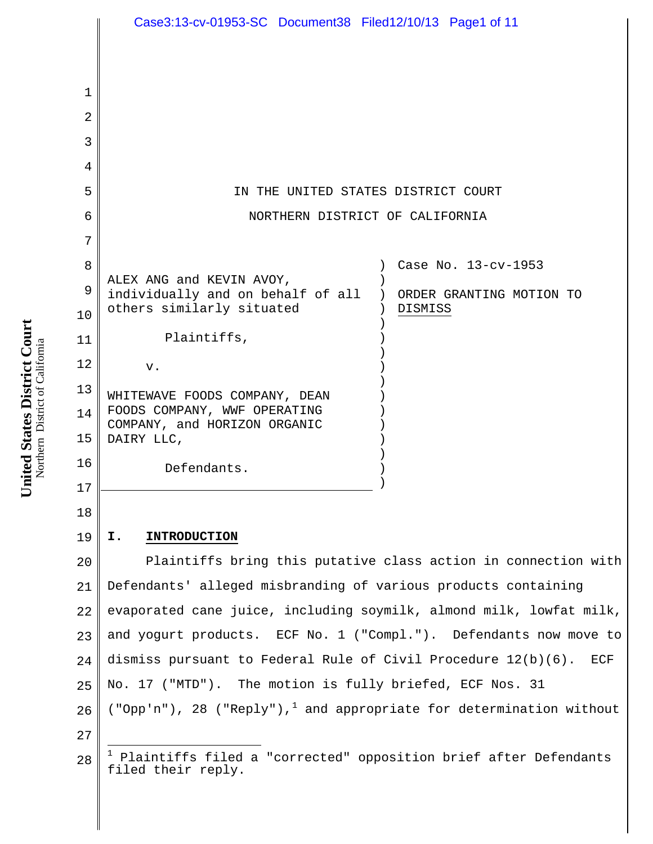|             | Case3:13-cv-01953-SC Document38 Filed12/10/13 Page1 of 11                                               |
|-------------|---------------------------------------------------------------------------------------------------------|
|             |                                                                                                         |
|             |                                                                                                         |
| $\mathbf 1$ |                                                                                                         |
| 2           |                                                                                                         |
| 3           |                                                                                                         |
| 4           |                                                                                                         |
| 5           | IN THE UNITED STATES DISTRICT COURT                                                                     |
| 6           | NORTHERN DISTRICT OF CALIFORNIA                                                                         |
| 7           |                                                                                                         |
| 8           | Case No. 13-cv-1953                                                                                     |
| 9           | ALEX ANG and KEVIN AVOY,                                                                                |
| 10          | individually and on behalf of all )<br>ORDER GRANTING MOTION TO<br>others similarly situated<br>DISMISS |
| 11          | Plaintiffs,                                                                                             |
| 12          | V.                                                                                                      |
| 13          |                                                                                                         |
| 14          | WHITEWAVE FOODS COMPANY, DEAN<br>FOODS COMPANY, WWF OPERATING                                           |
| 15          | COMPANY, and HORIZON ORGANIC<br>DAIRY LLC,                                                              |
| 16          |                                                                                                         |
| 17          | Defendants.                                                                                             |
| 18          |                                                                                                         |
| 19          | <b>INTRODUCTION</b><br>Ι.                                                                               |
| 20          | Plaintiffs bring this putative class action in connection with                                          |
| 21          | Defendants' alleged misbranding of various products containing                                          |
| 22          | evaporated cane juice, including soymilk, almond milk, lowfat milk,                                     |
| 23          | and yogurt products. ECF No. 1 ("Compl."). Defendants now move to                                       |
| 24          | dismiss pursuant to Federal Rule of Civil Procedure $12(b)(6)$ .<br>ECF                                 |
| 25          | No. 17 ("MTD"). The motion is fully briefed, ECF Nos. 31                                                |
| 26          | ("Opp'n"), 28 ("Reply"), and appropriate for determination without                                      |
| 27          |                                                                                                         |
| 28          | <sup>1</sup> Plaintiffs filed a "corrected" opposition brief after Defendants<br>filed their reply.     |

United States District Court<br>Northern District of California **United States District Court** Northern District of California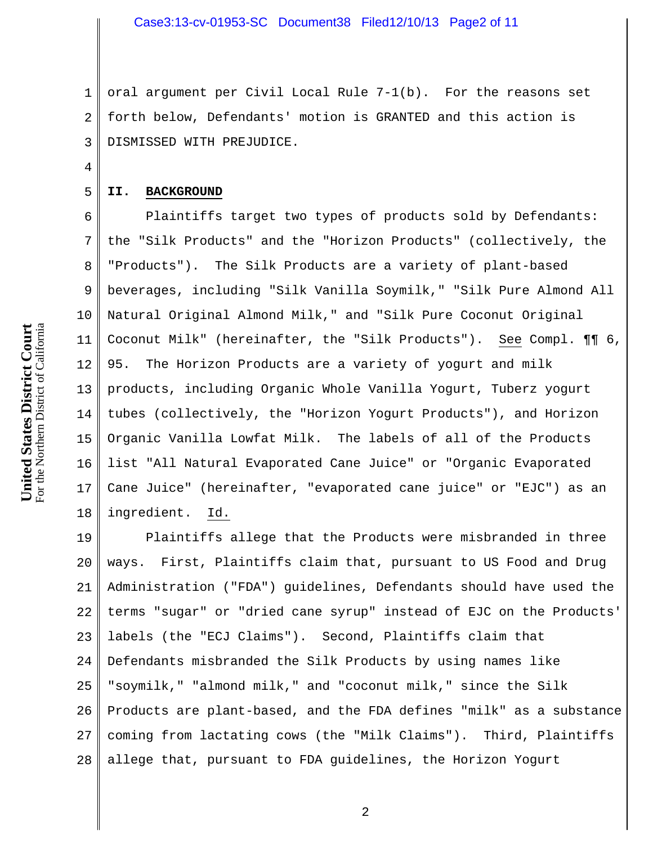1 2 3 oral argument per Civil Local Rule 7-1(b). For the reasons set forth below, Defendants' motion is GRANTED and this action is DISMISSED WITH PREJUDICE.

### **II. BACKGROUND**

4

5

6 7 8 9 10 11 12 13 14 15 16 17 18 Plaintiffs target two types of products sold by Defendants: the "Silk Products" and the "Horizon Products" (collectively, the "Products"). The Silk Products are a variety of plant-based beverages, including "Silk Vanilla Soymilk," "Silk Pure Almond All Natural Original Almond Milk," and "Silk Pure Coconut Original Coconut Milk" (hereinafter, the "Silk Products"). See Compl. ¶¶ 6, 95. The Horizon Products are a variety of yogurt and milk products, including Organic Whole Vanilla Yogurt, Tuberz yogurt tubes (collectively, the "Horizon Yogurt Products"), and Horizon Organic Vanilla Lowfat Milk. The labels of all of the Products list "All Natural Evaporated Cane Juice" or "Organic Evaporated Cane Juice" (hereinafter, "evaporated cane juice" or "EJC") as an ingredient. Id.

19 20 21 22 23 24 25 26 27 28 Plaintiffs allege that the Products were misbranded in three ways. First, Plaintiffs claim that, pursuant to US Food and Drug Administration ("FDA") guidelines, Defendants should have used the terms "sugar" or "dried cane syrup" instead of EJC on the Products' labels (the "ECJ Claims"). Second, Plaintiffs claim that Defendants misbranded the Silk Products by using names like "soymilk," "almond milk," and "coconut milk," since the Silk Products are plant-based, and the FDA defines "milk" as a substance coming from lactating cows (the "Milk Claims"). Third, Plaintiffs allege that, pursuant to FDA guidelines, the Horizon Yogurt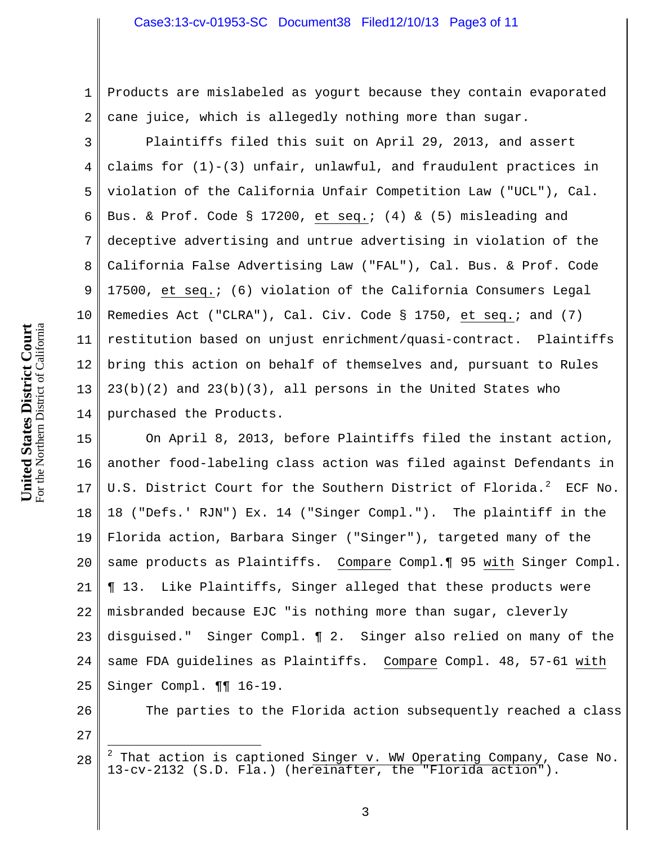1 2 Products are mislabeled as yogurt because they contain evaporated cane juice, which is allegedly nothing more than sugar.

3 4 5 6 7 8 9 10 11 12 13 14 Plaintiffs filed this suit on April 29, 2013, and assert claims for  $(1)-(3)$  unfair, unlawful, and fraudulent practices in violation of the California Unfair Competition Law ("UCL"), Cal. Bus. & Prof. Code § 17200, et seq.; (4) & (5) misleading and deceptive advertising and untrue advertising in violation of the California False Advertising Law ("FAL"), Cal. Bus. & Prof. Code 17500, et seq.; (6) violation of the California Consumers Legal Remedies Act ("CLRA"), Cal. Civ. Code § 1750, et seq.; and (7) restitution based on unjust enrichment/quasi-contract. Plaintiffs bring this action on behalf of themselves and, pursuant to Rules  $23(b)(2)$  and  $23(b)(3)$ , all persons in the United States who purchased the Products.

15 16 17 18 19 20 21 22 23 24 25 On April 8, 2013, before Plaintiffs filed the instant action, another food-labeling class action was filed against Defendants in U.S. District Court for the Southern District of Florida. $^2$  ECF No.  $\mid$ 18 ("Defs.' RJN") Ex. 14 ("Singer Compl."). The plaintiff in the Florida action, Barbara Singer ("Singer"), targeted many of the same products as Plaintiffs. Compare Compl.¶ 95 with Singer Compl. ¶ 13. Like Plaintiffs, Singer alleged that these products were misbranded because EJC "is nothing more than sugar, cleverly disguised." Singer Compl. ¶ 2. Singer also relied on many of the same FDA guidelines as Plaintiffs. Compare Compl. 48, 57-61 with Singer Compl. ¶¶ 16-19.

The parties to the Florida action subsequently reached a class

27

<sup>28</sup>  $\frac{1}{2}$  $2$  That action is captioned  $Singer$  v. WW Operating Company, Case No. 13-cv-2132 (S.D. Fla.) (hereinafter, the "Florida action").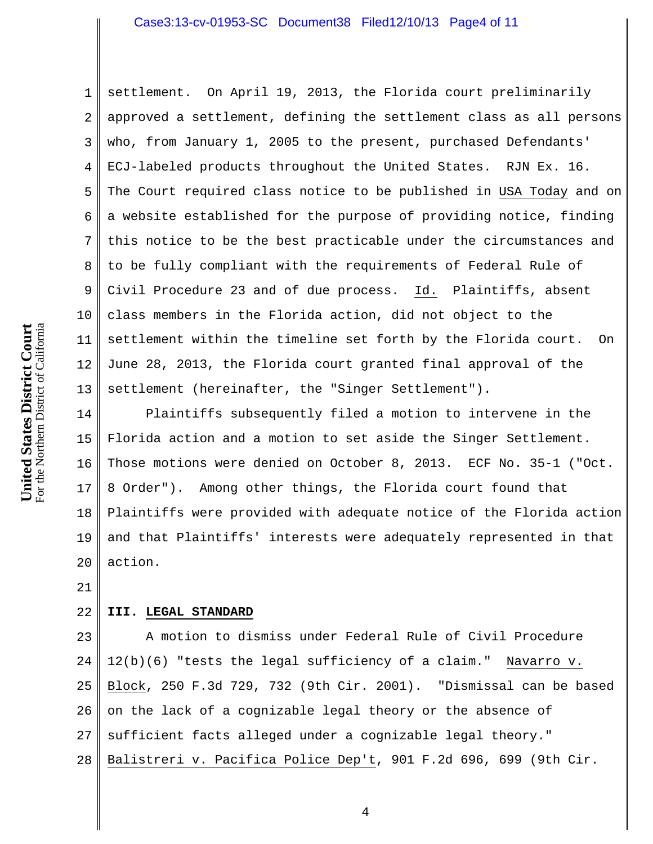1 2 3 4 5 6 7 8 9 10 11 12 13 settlement. On April 19, 2013, the Florida court preliminarily approved a settlement, defining the settlement class as all persons who, from January 1, 2005 to the present, purchased Defendants' ECJ-labeled products throughout the United States. RJN Ex. 16. The Court required class notice to be published in USA Today and on a website established for the purpose of providing notice, finding this notice to be the best practicable under the circumstances and to be fully compliant with the requirements of Federal Rule of Civil Procedure 23 and of due process. Id. Plaintiffs, absent class members in the Florida action, did not object to the settlement within the timeline set forth by the Florida court. On June 28, 2013, the Florida court granted final approval of the settlement (hereinafter, the "Singer Settlement").

14 15 16 17 18 19 20 Plaintiffs subsequently filed a motion to intervene in the Florida action and a motion to set aside the Singer Settlement. Those motions were denied on October 8, 2013. ECF No. 35-1 ("Oct. 8 Order"). Among other things, the Florida court found that Plaintiffs were provided with adequate notice of the Florida action and that Plaintiffs' interests were adequately represented in that action.

21

#### 22 **III. LEGAL STANDARD**

23 24 25 26 27 28 A motion to dismiss under Federal Rule of Civil Procedure 12(b)(6) "tests the legal sufficiency of a claim." Navarro v. Block, 250 F.3d 729, 732 (9th Cir. 2001). "Dismissal can be based on the lack of a cognizable legal theory or the absence of sufficient facts alleged under a cognizable legal theory." Balistreri v. Pacifica Police Dep't, 901 F.2d 696, 699 (9th Cir.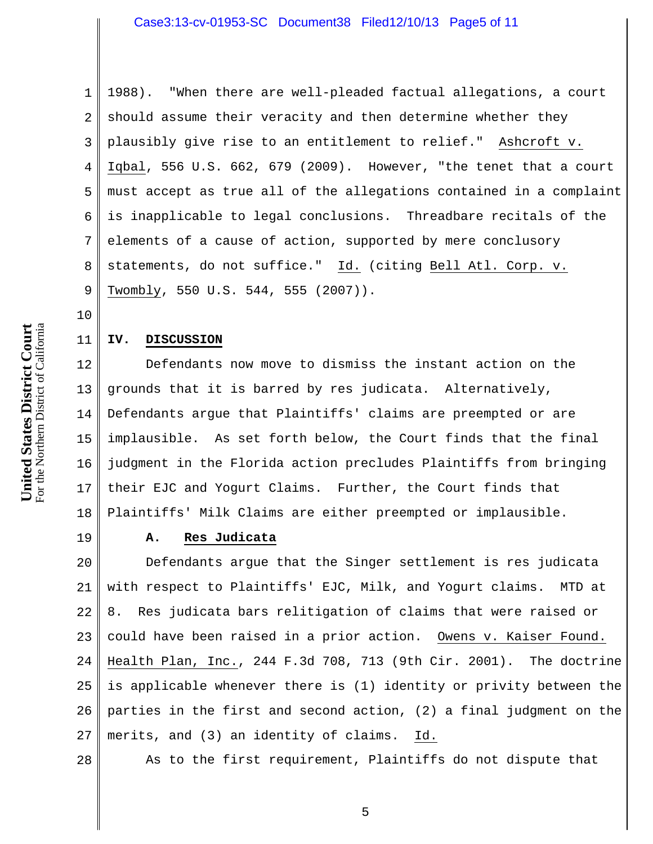1 2 3 4 5 6 7 8 9 1988). "When there are well-pleaded factual allegations, a court should assume their veracity and then determine whether they plausibly give rise to an entitlement to relief." Ashcroft v. Iqbal, 556 U.S. 662, 679 (2009). However, "the tenet that a court must accept as true all of the allegations contained in a complaint is inapplicable to legal conclusions. Threadbare recitals of the elements of a cause of action, supported by mere conclusory statements, do not suffice." Id. (citing Bell Atl. Corp. v. Twombly, 550 U.S. 544, 555 (2007)).

## **IV. DISCUSSION**

12 13 14 15 16 17 18 Defendants now move to dismiss the instant action on the grounds that it is barred by res judicata. Alternatively, Defendants argue that Plaintiffs' claims are preempted or are implausible. As set forth below, the Court finds that the final judgment in the Florida action precludes Plaintiffs from bringing their EJC and Yogurt Claims. Further, the Court finds that Plaintiffs' Milk Claims are either preempted or implausible.

19

10

11

# **A. Res Judicata**

20 21 22 23 24 25 26 27 Defendants argue that the Singer settlement is res judicata with respect to Plaintiffs' EJC, Milk, and Yogurt claims. MTD at 8. Res judicata bars relitigation of claims that were raised or could have been raised in a prior action. Owens v. Kaiser Found. Health Plan, Inc., 244 F.3d 708, 713 (9th Cir. 2001). The doctrine is applicable whenever there is (1) identity or privity between the parties in the first and second action, (2) a final judgment on the merits, and (3) an identity of claims. Id.

28

As to the first requirement, Plaintiffs do not dispute that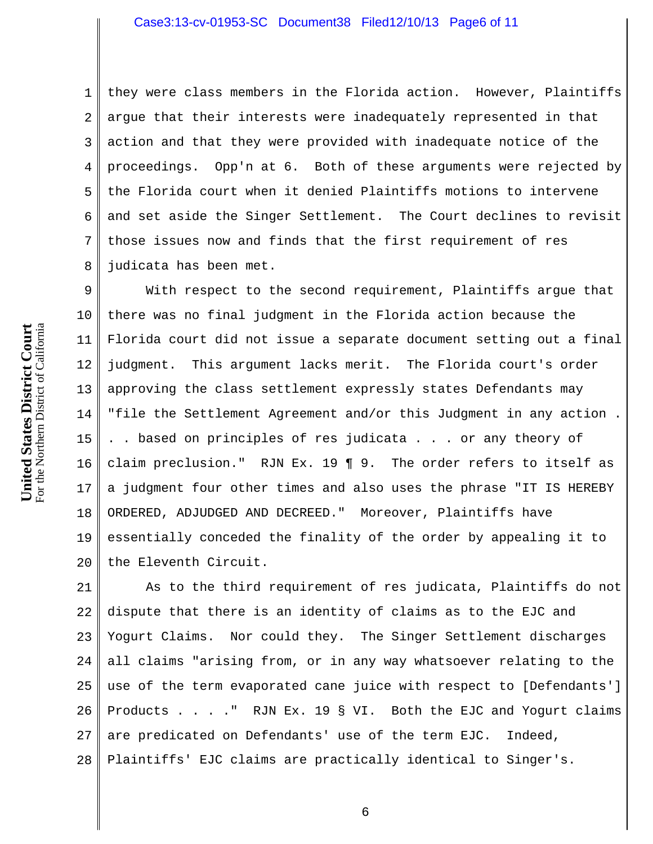1 2 3 4 5 6 7 8 they were class members in the Florida action. However, Plaintiffs argue that their interests were inadequately represented in that action and that they were provided with inadequate notice of the proceedings. Opp'n at 6. Both of these arguments were rejected by the Florida court when it denied Plaintiffs motions to intervene and set aside the Singer Settlement. The Court declines to revisit those issues now and finds that the first requirement of res judicata has been met.

9 10 11 12 13 14 15 16 17 18 19 20 With respect to the second requirement, Plaintiffs argue that there was no final judgment in the Florida action because the Florida court did not issue a separate document setting out a final judgment. This argument lacks merit. The Florida court's order approving the class settlement expressly states Defendants may "file the Settlement Agreement and/or this Judgment in any action . .. based on principles of res judicata . . . or any theory of claim preclusion." RJN Ex. 19 ¶ 9. The order refers to itself as a judgment four other times and also uses the phrase "IT IS HEREBY ORDERED, ADJUDGED AND DECREED." Moreover, Plaintiffs have essentially conceded the finality of the order by appealing it to the Eleventh Circuit.

21 22 23 24 25 26 27 28 As to the third requirement of res judicata, Plaintiffs do not dispute that there is an identity of claims as to the EJC and Yogurt Claims. Nor could they. The Singer Settlement discharges all claims "arising from, or in any way whatsoever relating to the use of the term evaporated cane juice with respect to [Defendants'] Products . . . ." RJN Ex. 19 § VI. Both the EJC and Yogurt claims are predicated on Defendants' use of the term EJC. Indeed, Plaintiffs' EJC claims are practically identical to Singer's.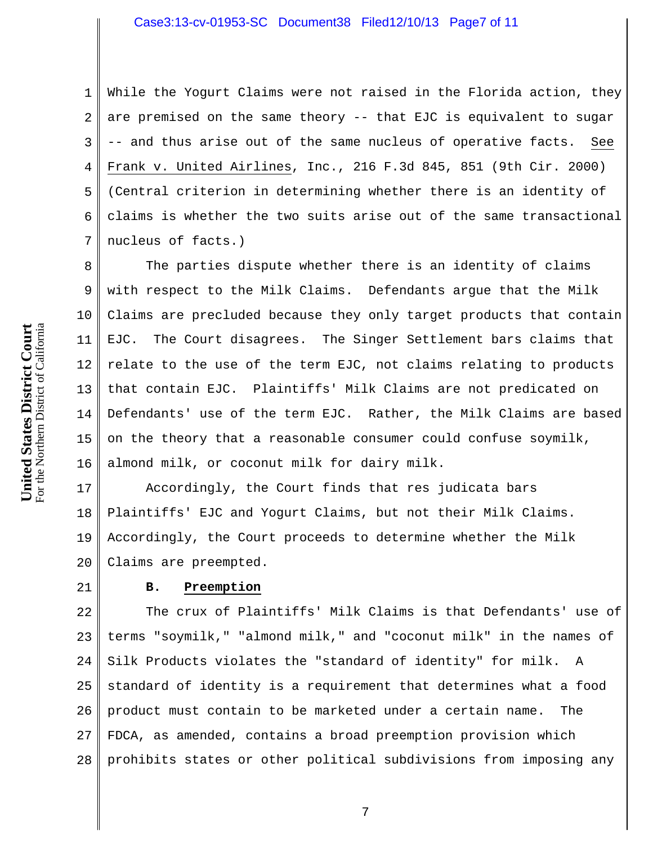1 2 3 4 5 6 7 While the Yogurt Claims were not raised in the Florida action, they are premised on the same theory -- that EJC is equivalent to sugar -- and thus arise out of the same nucleus of operative facts. See Frank v. United Airlines, Inc., 216 F.3d 845, 851 (9th Cir. 2000) (Central criterion in determining whether there is an identity of claims is whether the two suits arise out of the same transactional nucleus of facts.)

8 9 10 11 12 13 14 15 16 The parties dispute whether there is an identity of claims with respect to the Milk Claims. Defendants argue that the Milk Claims are precluded because they only target products that contain EJC. The Court disagrees. The Singer Settlement bars claims that relate to the use of the term EJC, not claims relating to products that contain EJC. Plaintiffs' Milk Claims are not predicated on Defendants' use of the term EJC. Rather, the Milk Claims are based on the theory that a reasonable consumer could confuse soymilk, almond milk, or coconut milk for dairy milk.

17 18 19 20 Accordingly, the Court finds that res judicata bars Plaintiffs' EJC and Yogurt Claims, but not their Milk Claims. Accordingly, the Court proceeds to determine whether the Milk Claims are preempted.

### 21

# **B. Preemption**

22 23 24 25 26 27 28 The crux of Plaintiffs' Milk Claims is that Defendants' use of terms "soymilk," "almond milk," and "coconut milk" in the names of Silk Products violates the "standard of identity" for milk. A standard of identity is a requirement that determines what a food product must contain to be marketed under a certain name. The FDCA, as amended, contains a broad preemption provision which prohibits states or other political subdivisions from imposing any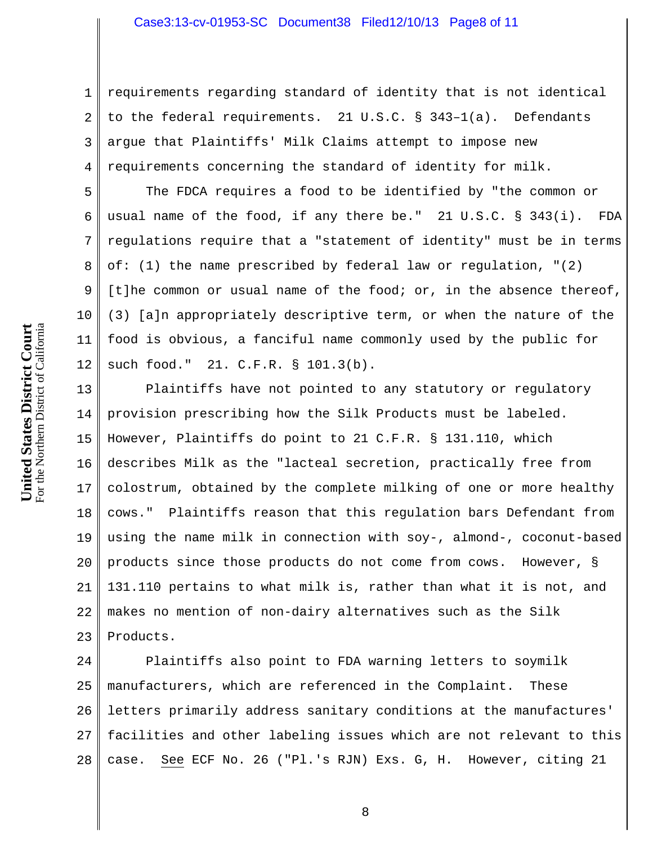1 2 3 4 requirements regarding standard of identity that is not identical to the federal requirements. 21 U.S.C. § 343–1(a). Defendants argue that Plaintiffs' Milk Claims attempt to impose new requirements concerning the standard of identity for milk.

The FDCA requires a food to be identified by "the common or usual name of the food, if any there be." 21 U.S.C. § 343(i). FDA regulations require that a "statement of identity" must be in terms of: (1) the name prescribed by federal law or regulation, "(2) [t]he common or usual name of the food; or, in the absence thereof, (3) [a]n appropriately descriptive term, or when the nature of the food is obvious, a fanciful name commonly used by the public for such food." 21. C.F.R. § 101.3(b).

13 14 15 16 17 18 19 20 21 22 23 Plaintiffs have not pointed to any statutory or regulatory provision prescribing how the Silk Products must be labeled. However, Plaintiffs do point to 21 C.F.R. § 131.110, which describes Milk as the "lacteal secretion, practically free from colostrum, obtained by the complete milking of one or more healthy cows." Plaintiffs reason that this regulation bars Defendant from using the name milk in connection with soy-, almond-, coconut-based products since those products do not come from cows. However, § 131.110 pertains to what milk is, rather than what it is not, and makes no mention of non-dairy alternatives such as the Silk Products.

24 25 26 27 28 Plaintiffs also point to FDA warning letters to soymilk manufacturers, which are referenced in the Complaint. These letters primarily address sanitary conditions at the manufactures' facilities and other labeling issues which are not relevant to this case. See ECF No. 26 ("Pl.'s RJN) Exs. G, H. However, citing 21

5

6

7

8

9

10

11

12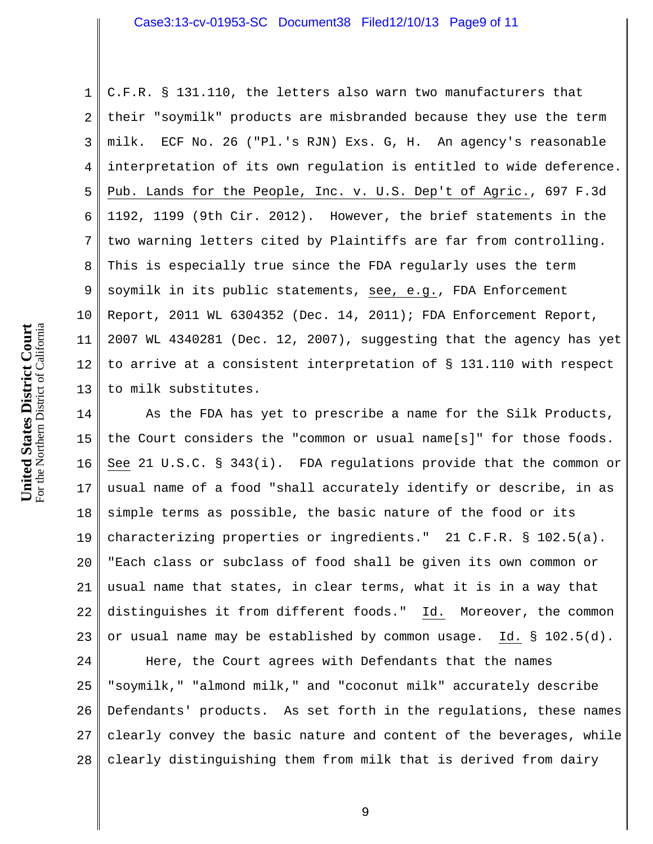1 2 3 4 5 6 7 8 9 10 11 12 13 C.F.R. § 131.110, the letters also warn two manufacturers that their "soymilk" products are misbranded because they use the term milk. ECF No. 26 ("Pl.'s RJN) Exs. G, H. An agency's reasonable interpretation of its own regulation is entitled to wide deference. Pub. Lands for the People, Inc. v. U.S. Dep't of Agric., 697 F.3d 1192, 1199 (9th Cir. 2012). However, the brief statements in the two warning letters cited by Plaintiffs are far from controlling. This is especially true since the FDA regularly uses the term soymilk in its public statements, see, e.g., FDA Enforcement Report, 2011 WL 6304352 (Dec. 14, 2011); FDA Enforcement Report, 2007 WL 4340281 (Dec. 12, 2007), suggesting that the agency has yet to arrive at a consistent interpretation of § 131.110 with respect to milk substitutes.

14 15 16 17 18 19 20 21 22 23 As the FDA has yet to prescribe a name for the Silk Products, the Court considers the "common or usual name[s]" for those foods. See 21 U.S.C. § 343(i). FDA regulations provide that the common or usual name of a food "shall accurately identify or describe, in as simple terms as possible, the basic nature of the food or its characterizing properties or ingredients." 21 C.F.R. § 102.5(a). "Each class or subclass of food shall be given its own common or usual name that states, in clear terms, what it is in a way that distinguishes it from different foods." Id. Moreover, the common or usual name may be established by common usage. Id. § 102.5(d).

24 25 26 27 28 Here, the Court agrees with Defendants that the names "soymilk," "almond milk," and "coconut milk" accurately describe Defendants' products. As set forth in the regulations, these names clearly convey the basic nature and content of the beverages, while clearly distinguishing them from milk that is derived from dairy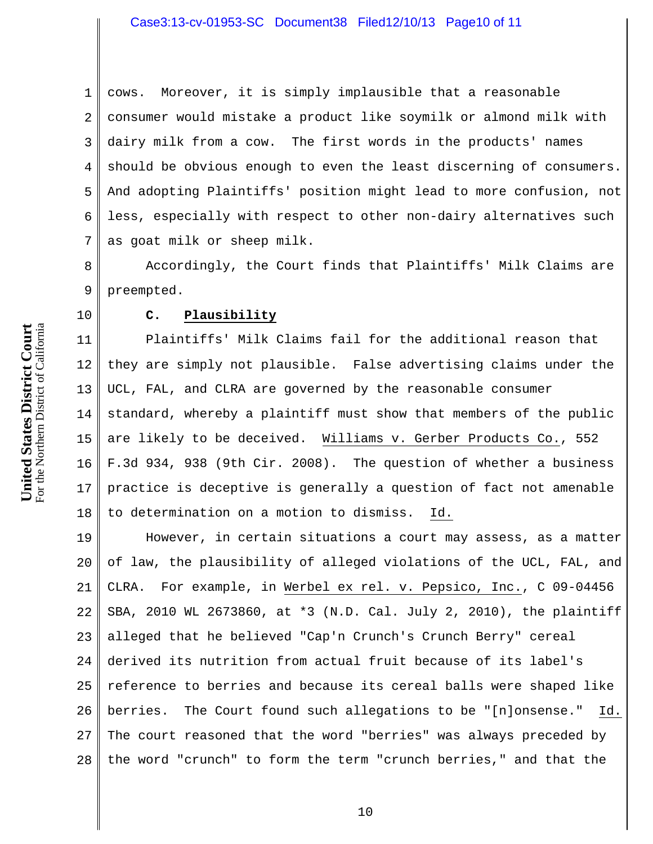1 2 3 4 5 6 7 cows. Moreover, it is simply implausible that a reasonable consumer would mistake a product like soymilk or almond milk with dairy milk from a cow. The first words in the products' names should be obvious enough to even the least discerning of consumers. And adopting Plaintiffs' position might lead to more confusion, not less, especially with respect to other non-dairy alternatives such as goat milk or sheep milk.

8 9 Accordingly, the Court finds that Plaintiffs' Milk Claims are preempted.

# **C. Plausibility**

11 12 13 14 15 16 17 18 Plaintiffs' Milk Claims fail for the additional reason that they are simply not plausible. False advertising claims under the UCL, FAL, and CLRA are governed by the reasonable consumer standard, whereby a plaintiff must show that members of the public are likely to be deceived. Williams v. Gerber Products Co., 552 F.3d 934, 938 (9th Cir. 2008). The question of whether a business practice is deceptive is generally a question of fact not amenable to determination on a motion to dismiss. Id.

19 20 21 22 23 24 25 26 27 28 However, in certain situations a court may assess, as a matter of law, the plausibility of alleged violations of the UCL, FAL, and CLRA. For example, in Werbel ex rel. v. Pepsico, Inc., C 09-04456 SBA, 2010 WL 2673860, at \*3 (N.D. Cal. July 2, 2010), the plaintiff alleged that he believed "Cap'n Crunch's Crunch Berry" cereal derived its nutrition from actual fruit because of its label's reference to berries and because its cereal balls were shaped like berries. The Court found such allegations to be "[n]onsense." Id. The court reasoned that the word "berries" was always preceded by the word "crunch" to form the term "crunch berries," and that the

10